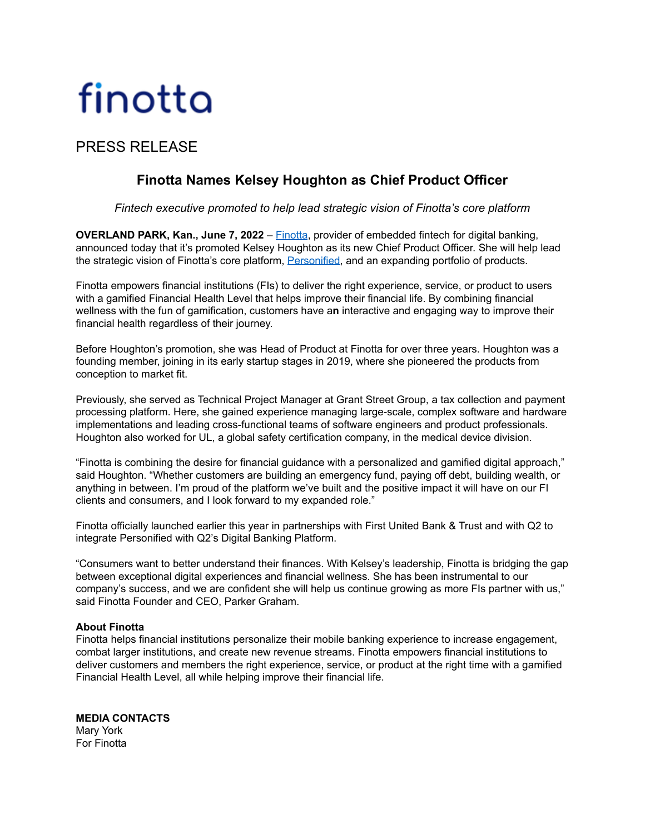# finotta

## PRESS RELEASE

## **Finotta Names Kelsey Houghton as Chief Product Officer**

### *Fintech executive promoted to help lead strategic vision of Finotta's core platform*

**OVERLAND PARK, Kan., June 7, 2022** – [Finotta](https://www.finotta.com/), provider of embedded fintech for digital banking, announced today that it's promoted Kelsey Houghton as its new Chief Product Officer. She will help lead the strategic vision of Finotta's core platform, [Personified,](https://www.finotta.com/personalization) and an expanding portfolio of products.

Finotta empowers financial institutions (FIs) to deliver the right experience, service, or product to users with a gamified Financial Health Level that helps improve their financial life. By combining financial wellness with the fun of gamification, customers have a**n** interactive and engaging way to improve their financial health regardless of their journey.

Before Houghton's promotion, she was Head of Product at Finotta for over three years. Houghton was a founding member, joining in its early startup stages in 2019, where she pioneered the products from conception to market fit.

Previously, she served as Technical Project Manager at Grant Street Group, a tax collection and payment processing platform. Here, she gained experience managing large-scale, complex software and hardware implementations and leading cross-functional teams of software engineers and product professionals. Houghton also worked for UL, a global safety certification company, in the medical device division.

"Finotta is combining the desire for financial guidance with a personalized and gamified digital approach," said Houghton. "Whether customers are building an emergency fund, paying off debt, building wealth, or anything in between. I'm proud of the platform we've built and the positive impact it will have on our FI clients and consumers, and I look forward to my expanded role."

Finotta officially launched earlier this year in partnerships with First United Bank & Trust and with Q2 to integrate Personified with Q2's Digital Banking Platform.

"Consumers want to better understand their finances. With Kelsey's leadership, Finotta is bridging the gap between exceptional digital experiences and financial wellness. She has been instrumental to our company's success, and we are confident she will help us continue growing as more FIs partner with us," said Finotta Founder and CEO, Parker Graham.

#### **About Finotta**

Finotta helps financial institutions personalize their mobile banking experience to increase engagement, combat larger institutions, and create new revenue streams. Finotta empowers financial institutions to deliver customers and members the right experience, service, or product at the right time with a gamified Financial Health Level, all while helping improve their financial life.

**MEDIA CONTACTS** Mary York For Finotta